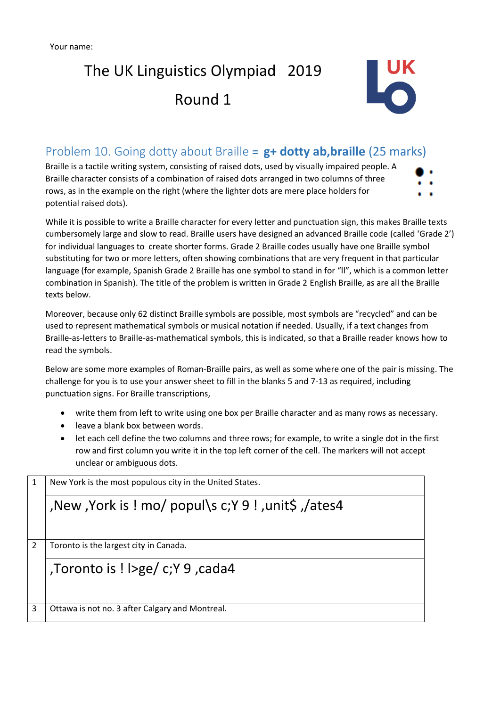Round 1



### Problem 10. Going dotty about Braille **= g+ dotty ab,braille** (25 marks)

Braille is a tactile writing system, consisting of raised dots, used by visually impaired people. A Braille character consists of a combination of raised dots arranged in two columns of three rows, as in the example on the right (where the lighter dots are mere place holders for potential raised dots).

While it is possible to write a Braille character for every letter and punctuation sign, this makes Braille texts cumbersomely large and slow to read. Braille users have designed an advanced Braille code (called 'Grade 2') for individual languages to create shorter forms. Grade 2 Braille codes usually have one Braille symbol substituting for two or more letters, often showing combinations that are very frequent in that particular language (for example, Spanish Grade 2 Braille has one symbol to stand in for "ll", which is a common letter combination in Spanish). The title of the problem is written in Grade 2 English Braille, as are all the Braille texts below.

Moreover, because only 62 distinct Braille symbols are possible, most symbols are "recycled" and can be used to represent mathematical symbols or musical notation if needed. Usually, if a text changes from Braille-as-letters to Braille-as-mathematical symbols, this is indicated, so that a Braille reader knows how to read the symbols.

Below are some more examples of Roman-Braille pairs, as well as some where one of the pair is missing. The challenge for you is to use your answer sheet to fill in the blanks 5 and 7-13 as required, including punctuation signs. For Braille transcriptions,

- write them from left to write using one box per Braille character and as many rows as necessary.
- leave a blank box between words.
- let each cell define the two columns and three rows; for example, to write a single dot in the first row and first column you write it in the top left corner of the cell. The markers will not accept unclear or ambiguous dots.

| 1 | New York is the most populous city in the United States.    |  |  |  |  |  |  |  |  |
|---|-------------------------------------------------------------|--|--|--|--|--|--|--|--|
|   | , New , York is ! mo/ popul\s c; Y 9 ! , unit \$ , / ates 4 |  |  |  |  |  |  |  |  |
|   |                                                             |  |  |  |  |  |  |  |  |
| 2 | Toronto is the largest city in Canada.                      |  |  |  |  |  |  |  |  |
|   | Cada4 ( C;Y 9 , Toronto is ! $ ge/$ c;Y 9, cada4            |  |  |  |  |  |  |  |  |
| 3 | Ottawa is not no. 3 after Calgary and Montreal.             |  |  |  |  |  |  |  |  |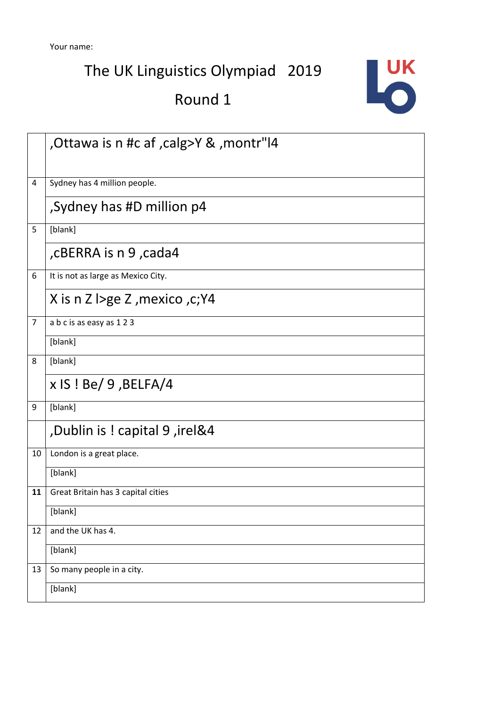### Round 1



|                | ,Ottawa is n #c af , calg>Y & , montr" 4 |
|----------------|------------------------------------------|
| 4              | Sydney has 4 million people.             |
|                | Sydney has #D million p4                 |
| 5              | [blank]                                  |
|                | cBERRA is n 9 , cada4,                   |
| 6              | It is not as large as Mexico City.       |
|                | X is n Z $\geq$ $\geq$ , mexico , c; Y4  |
| $\overline{7}$ | a b c is as easy as 1 2 3                |
|                | [blank]                                  |
| 8              | [blank]                                  |
|                | $x$ IS ! Be/ 9, BELFA/4                  |
| 9              | [blank]                                  |
|                | ,Dublin is ! capital 9, irel&4           |
| 10             | London is a great place.                 |
|                | [blank]                                  |
| 11             | Great Britain has 3 capital cities       |
|                | [blank]                                  |
| 12             | and the UK has 4.                        |
|                | [blank]                                  |
| 13             | So many people in a city.                |
|                | [blank]                                  |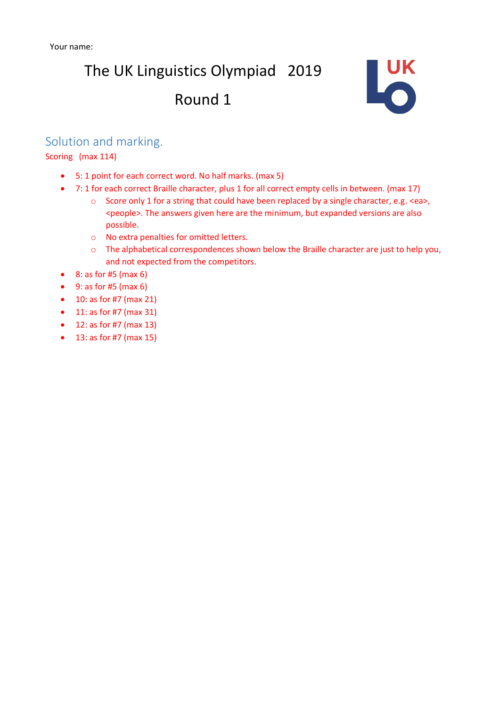### Round 1



### Solution and marking.

#### Scoring (max 114)

- 5: 1 point for each correct word. No half marks. (max 5)
- 7: 1 for each correct Braille character, plus 1 for all correct empty cells in between. (max 17)
	- o Score only 1 for a string that could have been replaced by a single character, e.g. <ea>, <people>. The answers given here are the minimum, but expanded versions are also possible.
	- o No extra penalties for omitted letters.
	- o The alphabetical correspondences shown below the Braille character are just to help you, and not expected from the competitors.
- $\bullet$  8: as for #5 (max 6)
- $\bullet$  9: as for #5 (max 6)
- 10: as for #7 (max 21)
- 11: as for #7 (max 31)
- 12: as for #7 (max 13)
- 13: as for #7 (max 15)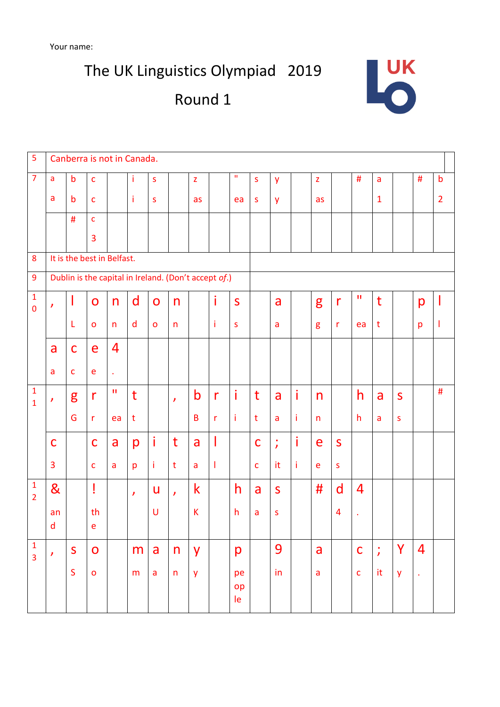## Round 1



| Canberra is not in Canada.                           |              |              |                    |              |              |              |              |              |              |              |                |   |              |                |              |               |              |                |                |
|------------------------------------------------------|--------------|--------------|--------------------|--------------|--------------|--------------|--------------|--------------|--------------|--------------|----------------|---|--------------|----------------|--------------|---------------|--------------|----------------|----------------|
| $\overline{a}$                                       | $\mathsf b$  | $\mathsf{C}$ |                    | i.           | $\mathsf{s}$ |              | $\mathbf{Z}$ |              | $\mathbf{H}$ | $\mathsf S$  | y              |   | $\mathbf{Z}$ |                | $\#$         | a             |              | #              | $\mathsf b$    |
| a                                                    | $\mathsf b$  | $\mathbf{C}$ |                    | i            | $\sf S$      |              | as           |              | ea           | $\sf S$      | y              |   | as           |                |              | $\mathbf{1}$  |              |                | $\overline{2}$ |
|                                                      | $\#$         | $\mathsf{C}$ |                    |              |              |              |              |              |              |              |                |   |              |                |              |               |              |                |                |
|                                                      |              | 3            |                    |              |              |              |              |              |              |              |                |   |              |                |              |               |              |                |                |
| It is the best in Belfast.                           |              |              |                    |              |              |              |              |              |              |              |                |   |              |                |              |               |              |                |                |
| Dublin is the capital in Ireland. (Don't accept of.) |              |              |                    |              |              |              |              |              |              |              |                |   |              |                |              |               |              |                |                |
| $\pmb{\prime}$                                       | I            | $\mathbf O$  | n                  | d            | $\mathbf O$  | $\mathsf{n}$ |              | i            | $\mathsf{S}$ |              | a              |   | g            | $\mathsf{r}$   | $\mathbf{H}$ | t             |              | p              | I              |
|                                                      | L            | $\mathbf{o}$ | $\mathsf{n}$       | $\mathsf{d}$ | $\mathbf{o}$ | n            |              | i.           | $\sf S$      |              | a              |   | g            | $\mathsf{r}$   | ea           | $\mathbf t$   |              | p              | T              |
| a                                                    | $\mathsf{C}$ | e            | 4                  |              |              |              |              |              |              |              |                |   |              |                |              |               |              |                |                |
| a                                                    | $\mathsf{C}$ | $\mathbf{e}$ | $\hat{\textbf{r}}$ |              |              |              |              |              |              |              |                |   |              |                |              |               |              |                |                |
| ,                                                    | g            | $\mathsf{r}$ | $\mathbf{H}$       | $\mathsf{t}$ |              | $\mathbf{r}$ | $\mathsf b$  | $\mathsf{r}$ | j            | t            | a              | i | n            |                | h            | a             | $\mathsf{S}$ |                | #              |
|                                                      | G            | $\mathsf{r}$ | ea                 | t            |              |              | B            | $\mathsf{r}$ | Ť            | $\mathbf t$  | a              | i | n            |                | h            | a             | S            |                |                |
| $\mathsf{C}$                                         |              | $\mathsf{C}$ | a                  | p            | İ            | t            | a            |              |              | $\mathsf{C}$ | ٠<br>$\lambda$ | i | e            | $\mathsf{S}$   |              |               |              |                |                |
| $\overline{3}$                                       |              | $\mathbf{C}$ | a                  | p            | î.           | $\mathsf{t}$ | a            | Τ            |              | $\mathsf{C}$ | it             | Ť | e            | $\mathsf{s}$   |              |               |              |                |                |
| $\boldsymbol{\alpha}$                                |              | Ţ            |                    | ,            | U            | $\lambda$    | $\mathsf k$  |              | $\mathsf{h}$ | a            | $\mathsf S$    |   | #            | d              | 4            |               |              |                |                |
| an                                                   |              | th           |                    |              | U            |              | $\mathsf{K}$ |              | $\mathsf{h}$ | $\mathsf{a}$ | $\sf S$        |   |              | $\overline{4}$ | $\bullet$    |               |              |                |                |
| $\mathsf{d}$                                         |              | e            |                    |              |              |              |              |              |              |              |                |   |              |                |              |               |              |                |                |
| ,                                                    | ${\sf S}$    | $\mathbf O$  |                    | m            | a            | n            | y            |              | p            |              | 9              |   | a            |                | $\mathsf{C}$ | $\frac{1}{2}$ | Y            | $\overline{4}$ |                |
|                                                      | $\mathsf{S}$ | $\mathbf O$  |                    | m            | $\mathsf{a}$ | n            | y            |              | pe           |              | in             |   | $\mathsf{a}$ |                | $\mathbf{C}$ | it            | y            | $\bullet$      |                |
|                                                      |              |              |                    |              |              |              |              |              | op<br>le     |              |                |   |              |                |              |               |              |                |                |
|                                                      |              |              |                    |              |              |              |              |              |              |              |                |   |              |                |              |               |              |                |                |